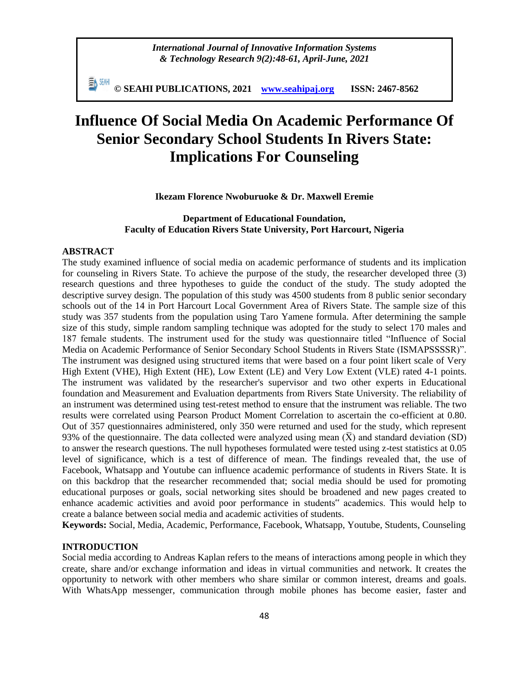*International Journal of Innovative Information Systems & Technology Research 9(2):48-61, April-June, 2021*

EN SEMI **© SEAHI PUBLICATIONS, 2021 [www.seahipaj.org](http://www.seahipaj.org/) ISSN: 2467-8562**

# **Influence Of Social Media On Academic Performance Of Senior Secondary School Students In Rivers State: Implications For Counseling**

**Ikezam Florence Nwoburuoke & Dr. Maxwell Eremie**

# **Department of Educational Foundation, Faculty of Education Rivers State University, Port Harcourt, Nigeria**

# **ABSTRACT**

The study examined influence of social media on academic performance of students and its implication for counseling in Rivers State. To achieve the purpose of the study, the researcher developed three (3) research questions and three hypotheses to guide the conduct of the study. The study adopted the descriptive survey design. The population of this study was 4500 students from 8 public senior secondary schools out of the 14 in Port Harcourt Local Government Area of Rivers State. The sample size of this study was 357 students from the population using Taro Yamene formula. After determining the sample size of this study, simple random sampling technique was adopted for the study to select 170 males and 187 female students. The instrument used for the study was questionnaire titled "Influence of Social Media on Academic Performance of Senior Secondary School Students in Rivers State (ISMAPSSSSR)". The instrument was designed using structured items that were based on a four point likert scale of Very High Extent (VHE), High Extent (HE), Low Extent (LE) and Very Low Extent (VLE) rated 4-1 points. The instrument was validated by the researcher's supervisor and two other experts in Educational foundation and Measurement and Evaluation departments from Rivers State University. The reliability of an instrument was determined using test-retest method to ensure that the instrument was reliable. The two results were correlated using Pearson Product Moment Correlation to ascertain the co-efficient at 0.80. Out of 357 questionnaires administered, only 350 were returned and used for the study, which represent 93% of the questionnaire. The data collected were analyzed using mean  $(\bar{X})$  and standard deviation (SD) to answer the research questions. The null hypotheses formulated were tested using z-test statistics at 0.05 level of significance, which is a test of difference of mean. The findings revealed that, the use of Facebook, Whatsapp and Youtube can influence academic performance of students in Rivers State. It is on this backdrop that the researcher recommended that; social media should be used for promoting educational purposes or goals, social networking sites should be broadened and new pages created to enhance academic activities and avoid poor performance in students" academics. This would help to create a balance between social media and academic activities of students.

**Keywords:** Social, Media, Academic, Performance, Facebook, Whatsapp, Youtube, Students, Counseling

# **INTRODUCTION**

Social media according to Andreas Kaplan refers to the means of interactions among people in which they create, share and/or exchange information and ideas in virtual communities and network. It creates the opportunity to network with other members who share similar or common interest, dreams and goals. With WhatsApp messenger, communication through mobile phones has become easier, faster and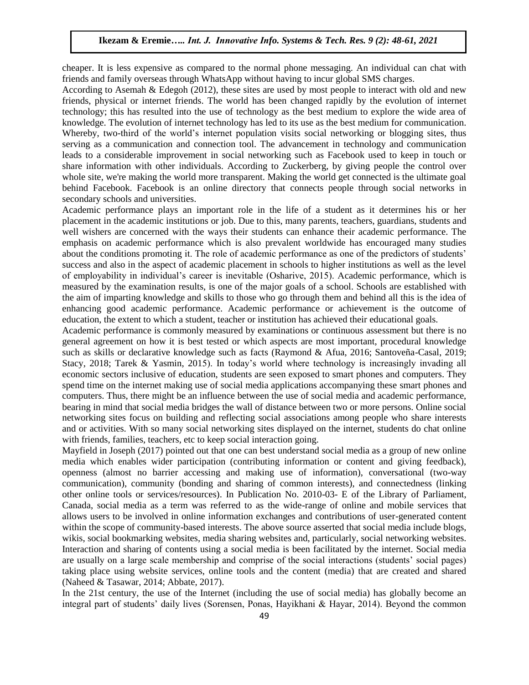cheaper. It is less expensive as compared to the normal phone messaging. An individual can chat with friends and family overseas through WhatsApp without having to incur global SMS charges.

According to Asemah & Edegoh (2012), these sites are used by most people to interact with old and new friends, physical or internet friends. The world has been changed rapidly by the evolution of internet technology; this has resulted into the use of technology as the best medium to explore the wide area of knowledge. The evolution of internet technology has led to its use as the best medium for communication. Whereby, two-third of the world's internet population visits social networking or blogging sites, thus serving as a communication and connection tool. The advancement in technology and communication leads to a considerable improvement in social networking such as Facebook used to keep in touch or share information with other individuals. According to Zuckerberg, by giving people the control over whole site, we're making the world more transparent. Making the world get connected is the ultimate goal behind Facebook. Facebook is an online directory that connects people through social networks in secondary schools and universities.

Academic performance plays an important role in the life of a student as it determines his or her placement in the academic institutions or job. Due to this, many parents, teachers, guardians, students and well wishers are concerned with the ways their students can enhance their academic performance. The emphasis on academic performance which is also prevalent worldwide has encouraged many studies about the conditions promoting it. The role of academic performance as one of the predictors of students' success and also in the aspect of academic placement in schools to higher institutions as well as the level of employability in individual's career is inevitable (Osharive, 2015). Academic performance, which is measured by the examination results, is one of the major goals of a school. Schools are established with the aim of imparting knowledge and skills to those who go through them and behind all this is the idea of enhancing good academic performance. Academic performance or achievement is the outcome of education, the extent to which a student, teacher or institution has achieved their educational goals.

Academic performance is commonly measured by examinations or continuous assessment but there is no general agreement on how it is best tested or which aspects are most important, procedural knowledge such as skills or declarative knowledge such as facts (Raymond & Afua, 2016; Santoveña-Casal, 2019; Stacy, 2018; Tarek & Yasmin, 2015). In today's world where technology is increasingly invading all economic sectors inclusive of education, students are seen exposed to smart phones and computers. They spend time on the internet making use of social media applications accompanying these smart phones and computers. Thus, there might be an influence between the use of social media and academic performance, bearing in mind that social media bridges the wall of distance between two or more persons. Online social networking sites focus on building and reflecting social associations among people who share interests and or activities. With so many social networking sites displayed on the internet, students do chat online with friends, families, teachers, etc to keep social interaction going.

Mayfield in Joseph (2017) pointed out that one can best understand social media as a group of new online media which enables wider participation (contributing information or content and giving feedback), openness (almost no barrier accessing and making use of information), conversational (two-way communication), community (bonding and sharing of common interests), and connectedness (linking other online tools or services/resources). In Publication No. 2010-03- E of the Library of Parliament, Canada, social media as a term was referred to as the wide-range of online and mobile services that allows users to be involved in online information exchanges and contributions of user-generated content within the scope of community-based interests. The above source asserted that social media include blogs, wikis, social bookmarking websites, media sharing websites and, particularly, social networking websites. Interaction and sharing of contents using a social media is been facilitated by the internet. Social media are usually on a large scale membership and comprise of the social interactions (students' social pages) taking place using website services, online tools and the content (media) that are created and shared (Naheed & Tasawar, 2014; Abbate, 2017).

In the 21st century, the use of the Internet (including the use of social media) has globally become an integral part of students' daily lives (Sorensen, Ponas, Hayikhani & Hayar, 2014). Beyond the common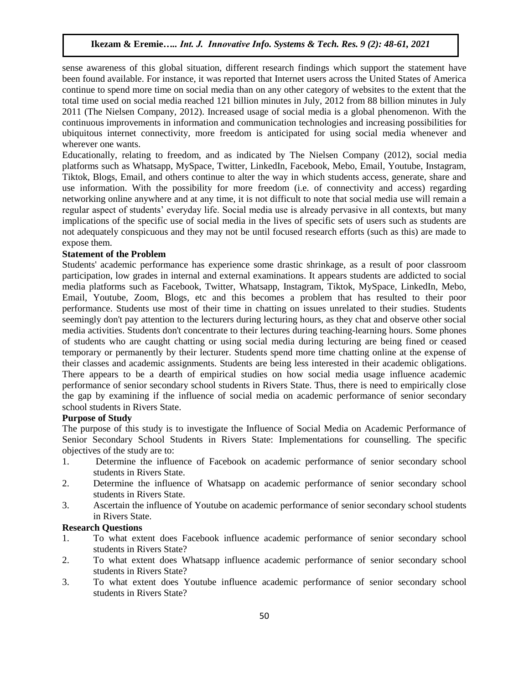sense awareness of this global situation, different research findings which support the statement have been found available. For instance, it was reported that Internet users across the United States of America continue to spend more time on social media than on any other category of websites to the extent that the total time used on social media reached 121 billion minutes in July, 2012 from 88 billion minutes in July 2011 (The Nielsen Company, 2012). Increased usage of social media is a global phenomenon. With the continuous improvements in information and communication technologies and increasing possibilities for ubiquitous internet connectivity, more freedom is anticipated for using social media whenever and wherever one wants.

Educationally, relating to freedom, and as indicated by The Nielsen Company (2012), social media platforms such as Whatsapp, MySpace, Twitter, LinkedIn, Facebook, Mebo, Email, Youtube, Instagram, Tiktok, Blogs, Email, and others continue to alter the way in which students access, generate, share and use information. With the possibility for more freedom (i.e. of connectivity and access) regarding networking online anywhere and at any time, it is not difficult to note that social media use will remain a regular aspect of students' everyday life. Social media use is already pervasive in all contexts, but many implications of the specific use of social media in the lives of specific sets of users such as students are not adequately conspicuous and they may not be until focused research efforts (such as this) are made to expose them.

#### **Statement of the Problem**

Students' academic performance has experience some drastic shrinkage, as a result of poor classroom participation, low grades in internal and external examinations. It appears students are addicted to social media platforms such as Facebook, Twitter, Whatsapp, Instagram, Tiktok, MySpace, LinkedIn, Mebo, Email, Youtube, Zoom, Blogs, etc and this becomes a problem that has resulted to their poor performance. Students use most of their time in chatting on issues unrelated to their studies. Students seemingly don't pay attention to the lecturers during lecturing hours, as they chat and observe other social media activities. Students don't concentrate to their lectures during teaching-learning hours. Some phones of students who are caught chatting or using social media during lecturing are being fined or ceased temporary or permanently by their lecturer. Students spend more time chatting online at the expense of their classes and academic assignments. Students are being less interested in their academic obligations. There appears to be a dearth of empirical studies on how social media usage influence academic performance of senior secondary school students in Rivers State. Thus, there is need to empirically close the gap by examining if the influence of social media on academic performance of senior secondary school students in Rivers State.

#### **Purpose of Study**

The purpose of this study is to investigate the Influence of Social Media on Academic Performance of Senior Secondary School Students in Rivers State: Implementations for counselling. The specific objectives of the study are to:

- 1. Determine the influence of Facebook on academic performance of senior secondary school students in Rivers State.
- 2. Determine the influence of Whatsapp on academic performance of senior secondary school students in Rivers State.
- 3. Ascertain the influence of Youtube on academic performance of senior secondary school students in Rivers State.

## **Research Questions**

- 1. To what extent does Facebook influence academic performance of senior secondary school students in Rivers State?
- 2. To what extent does Whatsapp influence academic performance of senior secondary school students in Rivers State?
- 3. To what extent does Youtube influence academic performance of senior secondary school students in Rivers State?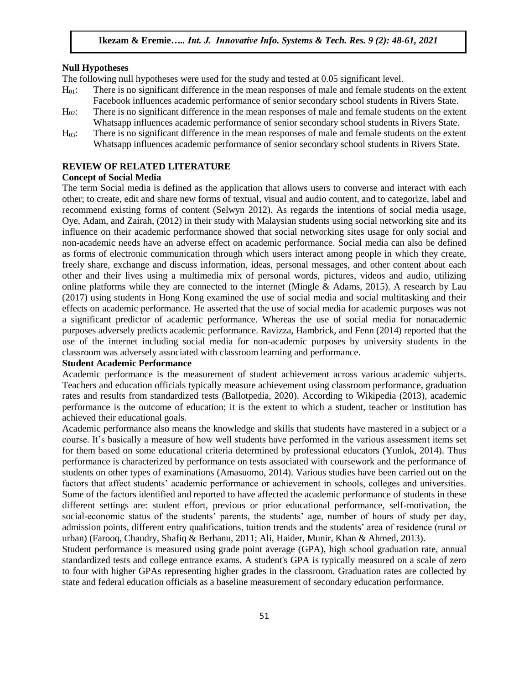#### **Null Hypotheses**

The following null hypotheses were used for the study and tested at 0.05 significant level.

- H01: There is no significant difference in the mean responses of male and female students on the extent Facebook influences academic performance of senior secondary school students in Rivers State.
- $H_0$ : There is no significant difference in the mean responses of male and female students on the extent Whatsapp influences academic performance of senior secondary school students in Rivers State.
- H03: There is no significant difference in the mean responses of male and female students on the extent Whatsapp influences academic performance of senior secondary school students in Rivers State.

## **REVIEW OF RELATED LITERATURE**

#### **Concept of Social Media**

The term Social media is defined as the application that allows users to converse and interact with each other; to create, edit and share new forms of textual, visual and audio content, and to categorize, label and recommend existing forms of content (Selwyn 2012). As regards the intentions of social media usage, Oye, Adam, and Zairah, (2012) in their study with Malaysian students using social networking site and its influence on their academic performance showed that social networking sites usage for only social and non-academic needs have an adverse effect on academic performance. Social media can also be defined as forms of electronic communication through which users interact among people in which they create, freely share, exchange and discuss information, ideas, personal messages, and other content about each other and their lives using a multimedia mix of personal words, pictures, videos and audio, utilizing online platforms while they are connected to the internet (Mingle & Adams, 2015). A research by Lau (2017) using students in Hong Kong examined the use of social media and social multitasking and their effects on academic performance. He asserted that the use of social media for academic purposes was not a significant predictor of academic performance. Whereas the use of social media for nonacademic purposes adversely predicts academic performance. Ravizza, Hambrick, and Fenn (2014) reported that the use of the internet including social media for non-academic purposes by university students in the classroom was adversely associated with classroom learning and performance.

## **Student Academic Performance**

Academic performance is the measurement of student achievement across various academic subjects. Teachers and education officials typically measure achievement using classroom performance, graduation rates and results from standardized tests (Ballotpedia, 2020). According to Wikipedia (2013), academic performance is the outcome of education; it is the extent to which a student, teacher or institution has achieved their educational goals.

Academic performance also means the knowledge and skills that students have mastered in a subject or a course. It's basically a measure of how well students have performed in the various assessment items set for them based on some educational criteria determined by professional educators (Yunlok, 2014). Thus performance is characterized by performance on tests associated with coursework and the performance of students on other types of examinations (Amasuomo, 2014). Various studies have been carried out on the factors that affect students' academic performance or achievement in schools, colleges and universities. Some of the factors identified and reported to have affected the academic performance of students in these different settings are: student effort, previous or prior educational performance, self-motivation, the social-economic status of the students' parents, the students' age, number of hours of study per day, admission points, different entry qualifications, tuition trends and the students' area of residence (rural or urban) (Farooq, Chaudry, Shafiq & Berhanu, 2011; Ali, Haider, Munir, Khan & Ahmed, 2013).

Student performance is measured using grade point average (GPA), high school graduation rate, annual standardized tests and college entrance exams. A student's GPA is typically measured on a scale of zero to four with higher GPAs representing higher grades in the classroom. Graduation rates are collected by state and federal education officials as a baseline measurement of secondary education performance.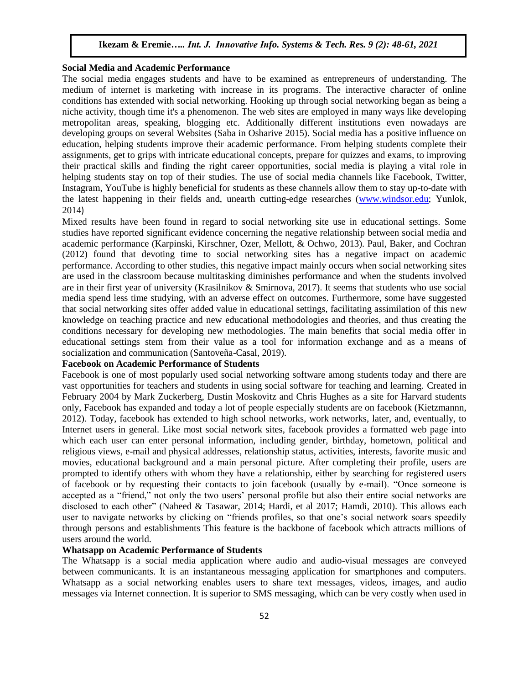#### **Social Media and Academic Performance**

The social media engages students and have to be examined as entrepreneurs of understanding. The medium of internet is marketing with increase in its programs. The interactive character of online conditions has extended with social networking. Hooking up through social networking began as being a niche activity, though time it's a phenomenon. The web sites are employed in many ways like developing metropolitan areas, speaking, blogging etc. Additionally different institutions even nowadays are developing groups on several Websites (Saba in Osharive 2015). Social media has a positive influence on education, helping students improve their academic performance. From helping students complete their assignments, get to grips with intricate educational concepts, prepare for quizzes and exams, to improving their practical skills and finding the right career opportunities, social media is playing a vital role in helping students stay on top of their studies. The use of social media channels like Facebook, Twitter, Instagram, YouTube is highly beneficial for students as these channels allow them to stay up-to-date with the latest happening in their fields and, unearth cutting-edge researches [\(www.windsor.edu;](http://www.windsor.edu/) Yunlok, 2014)

Mixed results have been found in regard to social networking site use in educational settings. Some studies have reported significant evidence concerning the negative relationship between social media and academic performance (Karpinski, Kirschner, Ozer, Mellott, & Ochwo, 2013). Paul, Baker, and Cochran (2012) found that devoting time to social networking sites has a negative impact on academic performance. According to other studies, this negative impact mainly occurs when social networking sites are used in the classroom because multitasking diminishes performance and when the students involved are in their first year of university (Krasilnikov  $&$  Smirnova, 2017). It seems that students who use social media spend less time studying, with an adverse effect on outcomes. Furthermore, some have suggested that social networking sites offer added value in educational settings, facilitating assimilation of this new knowledge on teaching practice and new educational methodologies and theories, and thus creating the conditions necessary for developing new methodologies. The main benefits that social media offer in educational settings stem from their value as a tool for information exchange and as a means of socialization and communication (Santoveña-Casal, 2019).

## **Facebook on Academic Performance of Students**

Facebook is one of most popularly used social networking software among students today and there are vast opportunities for teachers and students in using social software for teaching and learning. Created in February 2004 by Mark Zuckerberg, Dustin Moskovitz and Chris Hughes as a site for Harvard students only, Facebook has expanded and today a lot of people especially students are on facebook (Kietzmannn, 2012). Today, facebook has extended to high school networks, work networks, later, and, eventually, to Internet users in general. Like most social network sites, facebook provides a formatted web page into which each user can enter personal information, including gender, birthday, hometown, political and religious views, e-mail and physical addresses, relationship status, activities, interests, favorite music and movies, educational background and a main personal picture. After completing their profile, users are prompted to identify others with whom they have a relationship, either by searching for registered users of facebook or by requesting their contacts to join facebook (usually by e-mail). "Once someone is accepted as a "friend," not only the two users' personal profile but also their entire social networks are disclosed to each other" (Naheed & Tasawar, 2014; Hardi, et al 2017; Hamdi, 2010). This allows each user to navigate networks by clicking on "friends profiles, so that one's social network soars speedily through persons and establishments This feature is the backbone of facebook which attracts millions of users around the world.

#### **Whatsapp on Academic Performance of Students**

The Whatsapp is a social media application where audio and audio-visual messages are conveyed between communicants. It is an instantaneous messaging application for smartphones and computers. Whatsapp as a social networking enables users to share text messages, videos, images, and audio messages via Internet connection. It is superior to SMS messaging, which can be very costly when used in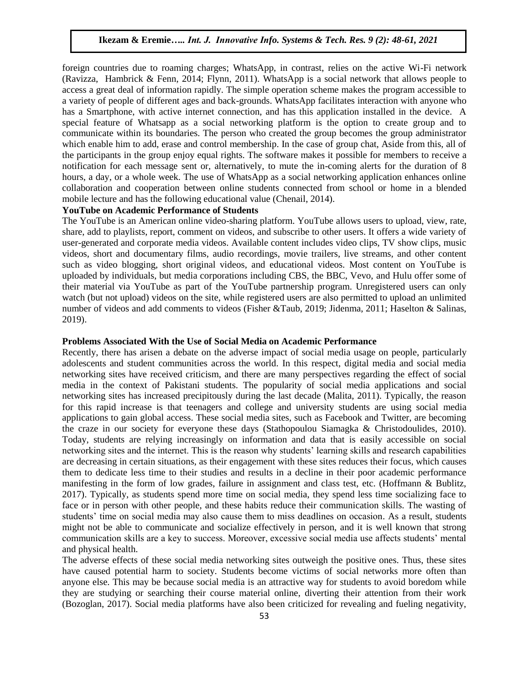foreign countries due to roaming charges; WhatsApp, in contrast, relies on the active Wi-Fi network (Ravizza, Hambrick & Fenn, 2014; Flynn, 2011). WhatsApp is a social network that allows people to access a great deal of information rapidly. The simple operation scheme makes the program accessible to a variety of people of different ages and back-grounds. WhatsApp facilitates interaction with anyone who has a Smartphone, with active internet connection, and has this application installed in the device. A special feature of Whatsapp as a social networking platform is the option to create group and to communicate within its boundaries. The person who created the group becomes the group administrator which enable him to add, erase and control membership. In the case of group chat, Aside from this, all of the participants in the group enjoy equal rights. The software makes it possible for members to receive a notification for each message sent or, alternatively, to mute the in-coming alerts for the duration of 8 hours, a day, or a whole week. The use of WhatsApp as a social networking application enhances online collaboration and cooperation between online students connected from school or home in a blended mobile lecture and has the following educational value (Chenail, 2014).

# **YouTube on Academic Performance of Students**

The YouTube is an American online video-sharing platform. YouTube allows users to upload, view, rate, share, add to playlists, report, comment on videos, and subscribe to other users. It offers a wide variety of user-generated and corporate media videos. Available content includes video clips, TV show clips, music videos, short and documentary films, audio recordings, movie trailers, live streams, and other content such as video blogging, short original videos, and educational videos. Most content on YouTube is uploaded by individuals, but media corporations including CBS, the BBC, Vevo, and Hulu offer some of their material via YouTube as part of the YouTube partnership program. Unregistered users can only watch (but not upload) videos on the site, while registered users are also permitted to upload an unlimited number of videos and add comments to videos (Fisher &Taub, 2019; Jidenma, 2011; Haselton & Salinas, 2019).

#### **Problems Associated With the Use of Social Media on Academic Performance**

Recently, there has arisen a debate on the adverse impact of social media usage on people, particularly adolescents and student communities across the world. In this respect, digital media and social media networking sites have received criticism, and there are many perspectives regarding the effect of social media in the context of Pakistani students. The popularity of social media applications and social networking sites has increased precipitously during the last decade (Malita, 2011). Typically, the reason for this rapid increase is that teenagers and college and university students are using social media applications to gain global access. These social media sites, such as Facebook and Twitter, are becoming the craze in our society for everyone these days (Stathopoulou Siamagka & Christodoulides, 2010). Today, students are relying increasingly on information and data that is easily accessible on social networking sites and the internet. This is the reason why students' learning skills and research capabilities are decreasing in certain situations, as their engagement with these sites reduces their focus, which causes them to dedicate less time to their studies and results in a decline in their poor academic performance manifesting in the form of low grades, failure in assignment and class test, etc. (Hoffmann & Bublitz, 2017). Typically, as students spend more time on social media, they spend less time socializing face to face or in person with other people, and these habits reduce their communication skills. The wasting of students' time on social media may also cause them to miss deadlines on occasion. As a result, students might not be able to communicate and socialize effectively in person, and it is well known that strong communication skills are a key to success. Moreover, excessive social media use affects students' mental and physical health.

The adverse effects of these social media networking sites outweigh the positive ones. Thus, these sites have caused potential harm to society. Students become victims of social networks more often than anyone else. This may be because social media is an attractive way for students to avoid boredom while they are studying or searching their course material online, diverting their attention from their work (Bozoglan, 2017). Social media platforms have also been criticized for revealing and fueling negativity,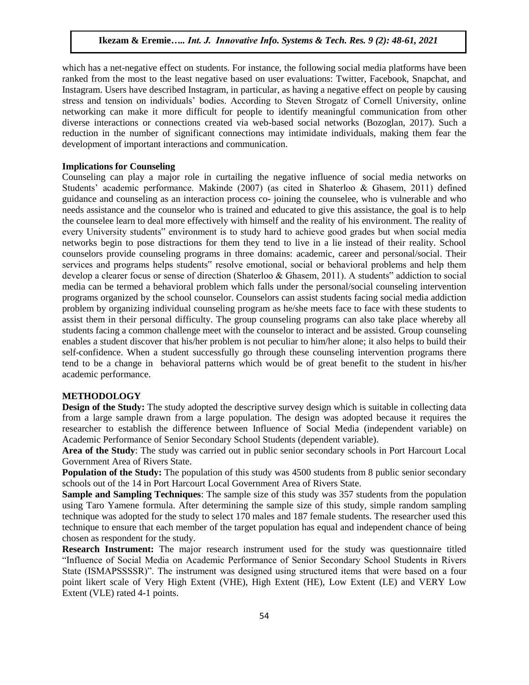which has a net-negative effect on students. For instance, the following social media platforms have been ranked from the most to the least negative based on user evaluations: Twitter, Facebook, Snapchat, and Instagram. Users have described Instagram, in particular, as having a negative effect on people by causing stress and tension on individuals' bodies. According to Steven Strogatz of Cornell University, online networking can make it more difficult for people to identify meaningful communication from other diverse interactions or connections created via web-based social networks (Bozoglan, 2017). Such a reduction in the number of significant connections may intimidate individuals, making them fear the development of important interactions and communication.

#### **Implications for Counseling**

Counseling can play a major role in curtailing the negative influence of social media networks on Students' academic performance. Makinde (2007) (as cited in Shaterloo & Ghasem, 2011) defined guidance and counseling as an interaction process co- joining the counselee, who is vulnerable and who needs assistance and the counselor who is trained and educated to give this assistance, the goal is to help the counselee learn to deal more effectively with himself and the reality of his environment. The reality of every University students" environment is to study hard to achieve good grades but when social media networks begin to pose distractions for them they tend to live in a lie instead of their reality. School counselors provide counseling programs in three domains: academic, career and personal/social. Their services and programs helps students" resolve emotional, social or behavioral problems and help them develop a clearer focus or sense of direction (Shaterloo & Ghasem, 2011). A students" addiction to social media can be termed a behavioral problem which falls under the personal/social counseling intervention programs organized by the school counselor. Counselors can assist students facing social media addiction problem by organizing individual counseling program as he/she meets face to face with these students to assist them in their personal difficulty. The group counseling programs can also take place whereby all students facing a common challenge meet with the counselor to interact and be assisted. Group counseling enables a student discover that his/her problem is not peculiar to him/her alone; it also helps to build their self-confidence. When a student successfully go through these counseling intervention programs there tend to be a change in behavioral patterns which would be of great benefit to the student in his/her academic performance.

# **METHODOLOGY**

**Design of the Study:** The study adopted the descriptive survey design which is suitable in collecting data from a large sample drawn from a large population. The design was adopted because it requires the researcher to establish the difference between Influence of Social Media (independent variable) on Academic Performance of Senior Secondary School Students (dependent variable).

**Area of the Study**: The study was carried out in public senior secondary schools in Port Harcourt Local Government Area of Rivers State.

**Population of the Study:** The population of this study was 4500 students from 8 public senior secondary schools out of the 14 in Port Harcourt Local Government Area of Rivers State.

**Sample and Sampling Techniques**: The sample size of this study was 357 students from the population using Taro Yamene formula. After determining the sample size of this study, simple random sampling technique was adopted for the study to select 170 males and 187 female students. The researcher used this technique to ensure that each member of the target population has equal and independent chance of being chosen as respondent for the study.

**Research Instrument:** The major research instrument used for the study was questionnaire titled "Influence of Social Media on Academic Performance of Senior Secondary School Students in Rivers State (ISMAPSSSSR)". The instrument was designed using structured items that were based on a four point likert scale of Very High Extent (VHE), High Extent (HE), Low Extent (LE) and VERY Low Extent (VLE) rated 4-1 points.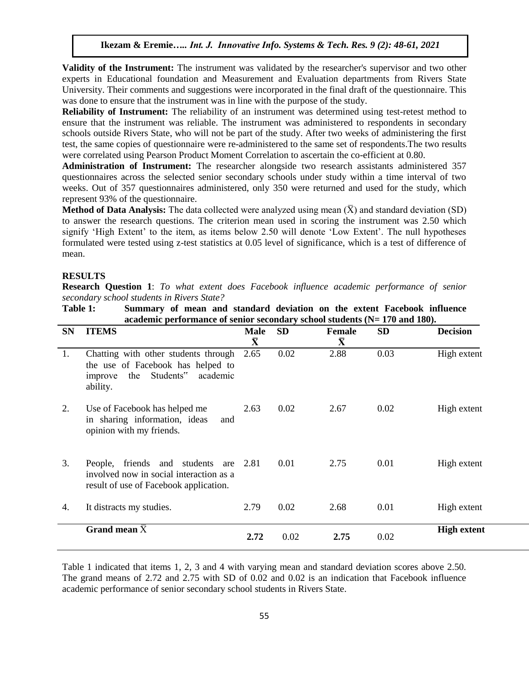**Validity of the Instrument:** The instrument was validated by the researcher's supervisor and two other experts in Educational foundation and Measurement and Evaluation departments from Rivers State University. Their comments and suggestions were incorporated in the final draft of the questionnaire. This was done to ensure that the instrument was in line with the purpose of the study.

**Reliability of Instrument:** The reliability of an instrument was determined using test-retest method to ensure that the instrument was reliable. The instrument was administered to respondents in secondary schools outside Rivers State, who will not be part of the study. After two weeks of administering the first test, the same copies of questionnaire were re-administered to the same set of respondents.The two results were correlated using Pearson Product Moment Correlation to ascertain the co-efficient at 0.80.

**Administration of Instrument:** The researcher alongside two research assistants administered 357 questionnaires across the selected senior secondary schools under study within a time interval of two weeks. Out of 357 questionnaires administered, only 350 were returned and used for the study, which represent 93% of the questionnaire.

**Method of Data Analysis:** The data collected were analyzed using mean  $(\bar{X})$  and standard deviation (SD) to answer the research questions. The criterion mean used in scoring the instrument was 2.50 which signify 'High Extent' to the item, as items below 2.50 will denote 'Low Extent'. The null hypotheses formulated were tested using z-test statistics at 0.05 level of significance, which is a test of difference of mean.

#### **RESULTS**

**Research Question 1**: *To what extent does Facebook influence academic performance of senior secondary school students in Rivers State?*

**Table 1: Summary of mean and standard deviation on the extent Facebook influence academic performance of senior secondary school students (N= 170 and 180).**

| <b>SN</b> | <b>ITEMS</b>                                                                                                                     | Male<br>$\bar{\mathbf{X}}$ | <b>SD</b> | <b>Female</b><br>$\bar{\mathbf{X}}$ | <b>SD</b> | <b>Decision</b>    |
|-----------|----------------------------------------------------------------------------------------------------------------------------------|----------------------------|-----------|-------------------------------------|-----------|--------------------|
| 1.        | Chatting with other students through<br>the use of Facebook has helped to<br>Students"<br>academic<br>the<br>improve<br>ability. | 2.65                       | 0.02      | 2.88                                | 0.03      | High extent        |
| 2.        | Use of Facebook has helped me<br>in sharing information, ideas<br>and<br>opinion with my friends.                                | 2.63                       | 0.02      | 2.67                                | 0.02      | High extent        |
| 3.        | friends and students are<br>People,<br>involved now in social interaction as a<br>result of use of Facebook application.         | 2.81                       | 0.01      | 2.75                                | 0.01      | High extent        |
| 4.        | It distracts my studies.                                                                                                         | 2.79                       | 0.02      | 2.68                                | 0.01      | High extent        |
|           | Grand mean $\bar{X}$                                                                                                             | 2.72                       | 0.02      | 2.75                                | 0.02      | <b>High extent</b> |

Table 1 indicated that items 1, 2, 3 and 4 with varying mean and standard deviation scores above 2.50. The grand means of 2.72 and 2.75 with SD of 0.02 and 0.02 is an indication that Facebook influence academic performance of senior secondary school students in Rivers State.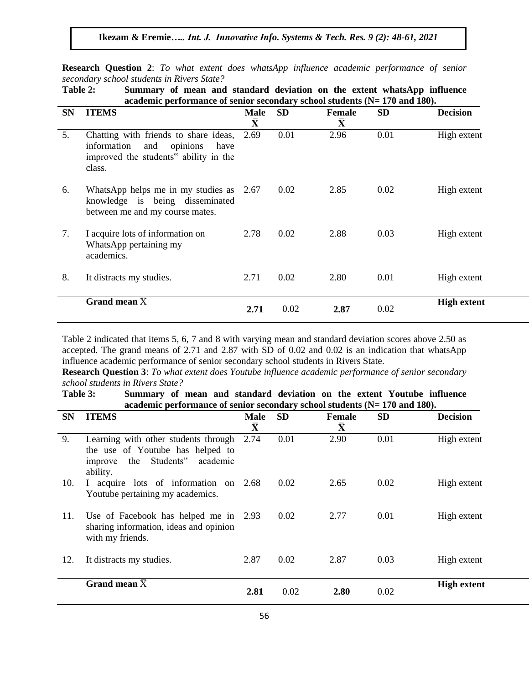**Research Question 2**: *To what extent does whatsApp influence academic performance of senior secondary school students in Rivers State?*

**Table 2: Summary of mean and standard deviation on the extent whatsApp influence academic performance of senior secondary school students (N= 170 and 180).**

| <b>SN</b> | <b>ITEMS</b>                                                                                                                            | <b>Male</b><br>$\bar{\textbf{X}}$ | <b>SD</b> | <b>Female</b><br>$\bar{\textbf{X}}$ | <b>SD</b> | <b>Decision</b>    |
|-----------|-----------------------------------------------------------------------------------------------------------------------------------------|-----------------------------------|-----------|-------------------------------------|-----------|--------------------|
| 5.        | Chatting with friends to share ideas, 2.69<br>information<br>opinions<br>and<br>have<br>improved the students" ability in the<br>class. |                                   | 0.01      | 2.96                                | 0.01      | High extent        |
| 6.        | WhatsApp helps me in my studies as 2.67<br>knowledge is being disseminated<br>between me and my course mates.                           |                                   | 0.02      | 2.85                                | 0.02      | High extent        |
| 7.        | I acquire lots of information on<br>WhatsApp pertaining my<br>academics.                                                                | 2.78                              | 0.02      | 2.88                                | 0.03      | High extent        |
| 8.        | It distracts my studies.                                                                                                                | 2.71                              | 0.02      | 2.80                                | 0.01      | High extent        |
|           | Grand mean $\bar{X}$                                                                                                                    | 2.71                              | 0.02      | 2.87                                | 0.02      | <b>High extent</b> |

Table 2 indicated that items 5, 6, 7 and 8 with varying mean and standard deviation scores above 2.50 as accepted. The grand means of 2.71 and 2.87 with SD of 0.02 and 0.02 is an indication that whatsApp influence academic performance of senior secondary school students in Rivers State.

**Research Question 3**: *To what extent does Youtube influence academic performance of senior secondary school students in Rivers State?*

**Table 3: Summary of mean and standard deviation on the extent Youtube influence academic performance of senior secondary school students (N= 170 and 180).**

| <b>SN</b> | <b>ITEMS</b>                                                                                                                    | <b>Male</b><br>$\bar{\textbf{X}}$ | <b>SD</b> | <b>Female</b><br>$\bf \bar X$ | <b>SD</b> | <b>Decision</b>    |
|-----------|---------------------------------------------------------------------------------------------------------------------------------|-----------------------------------|-----------|-------------------------------|-----------|--------------------|
| 9.        | Learning with other students through<br>the use of Youtube has helped to<br>Students"<br>academic<br>the<br>improve<br>ability. | 2.74                              | 0.01      | 2.90                          | 0.01      | High extent        |
| 10.       | I acquire lots of information on 2.68<br>Youtube pertaining my academics.                                                       |                                   | 0.02      | 2.65                          | 0.02      | High extent        |
| 11.       | Use of Facebook has helped me in 2.93<br>sharing information, ideas and opinion<br>with my friends.                             |                                   | 0.02      | 2.77                          | 0.01      | High extent        |
| 12.       | It distracts my studies.                                                                                                        | 2.87                              | 0.02      | 2.87                          | 0.03      | High extent        |
|           | Grand mean $\bar{X}$                                                                                                            | 2.81                              | 0.02      | 2.80                          | 0.02      | <b>High extent</b> |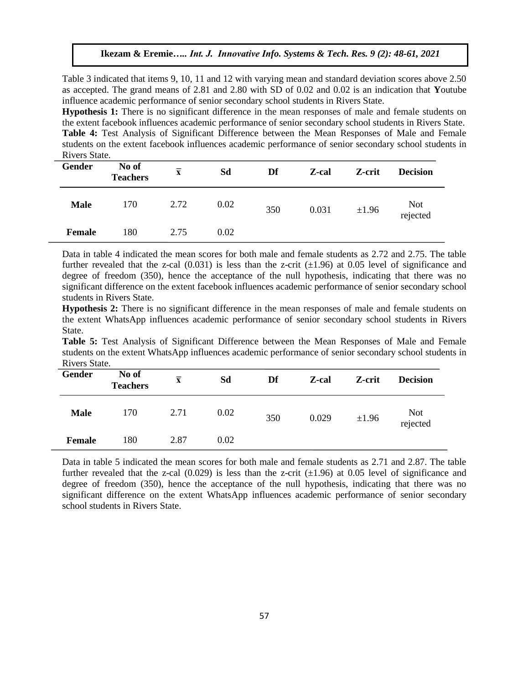Table 3 indicated that items 9, 10, 11 and 12 with varying mean and standard deviation scores above 2.50 as accepted. The grand means of 2.81 and 2.80 with SD of 0.02 and 0.02 is an indication that **Y**outube influence academic performance of senior secondary school students in Rivers State.

**Hypothesis 1:** There is no significant difference in the mean responses of male and female students on the extent facebook influences academic performance of senior secondary school students in Rivers State. **Table 4:** Test Analysis of Significant Difference between the Mean Responses of Male and Female students on the extent facebook influences academic performance of senior secondary school students in Rivers State.

| Gender      | No of<br><b>Teachers</b> | $\overline{\mathbf{x}}$ | Sd   | Df  | Z-cal | Z-crit | <b>Decision</b> |
|-------------|--------------------------|-------------------------|------|-----|-------|--------|-----------------|
| <b>Male</b> | 170                      | 2.72                    | 0.02 | 350 | 0.031 | ±1.96  | Not<br>rejected |
| Female      | 180                      | 2.75                    | 0.02 |     |       |        |                 |

Data in table 4 indicated the mean scores for both male and female students as 2.72 and 2.75. The table further revealed that the z-cal  $(0.031)$  is less than the z-crit  $(\pm 1.96)$  at 0.05 level of significance and degree of freedom (350), hence the acceptance of the null hypothesis, indicating that there was no significant difference on the extent facebook influences academic performance of senior secondary school students in Rivers State.

**Hypothesis 2:** There is no significant difference in the mean responses of male and female students on the extent WhatsApp influences academic performance of senior secondary school students in Rivers State.

**Table 5:** Test Analysis of Significant Difference between the Mean Responses of Male and Female students on the extent WhatsApp influences academic performance of senior secondary school students in Rivers State.

| Gender        | No of<br><b>Teachers</b> | $\overline{\mathbf{x}}$ | Sd   | Df  | Z-cal | Z-crit | <b>Decision</b> |
|---------------|--------------------------|-------------------------|------|-----|-------|--------|-----------------|
| <b>Male</b>   | 170                      | 2.71                    | 0.02 | 350 | 0.029 | ±1.96  | Not<br>rejected |
| <b>Female</b> | 180                      | 2.87                    | 0.02 |     |       |        |                 |

Data in table 5 indicated the mean scores for both male and female students as 2.71 and 2.87. The table further revealed that the z-cal  $(0.029)$  is less than the z-crit  $(\pm 1.96)$  at 0.05 level of significance and degree of freedom (350), hence the acceptance of the null hypothesis, indicating that there was no significant difference on the extent WhatsApp influences academic performance of senior secondary school students in Rivers State.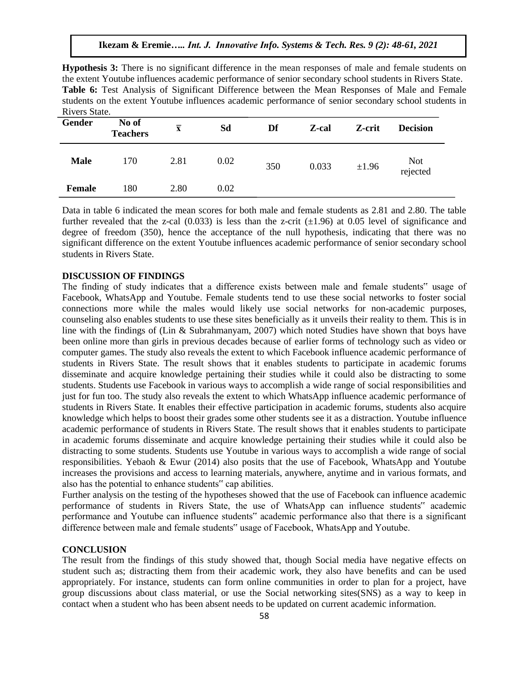**Hypothesis 3:** There is no significant difference in the mean responses of male and female students on the extent Youtube influences academic performance of senior secondary school students in Rivers State. **Table 6:** Test Analysis of Significant Difference between the Mean Responses of Male and Female students on the extent Youtube influences academic performance of senior secondary school students in Rivers State.

| Gender        | No of<br><b>Teachers</b> | $\overline{\mathbf{x}}$ | Sd   | Df  | Z-cal | Z-crit | <b>Decision</b>        |
|---------------|--------------------------|-------------------------|------|-----|-------|--------|------------------------|
| <b>Male</b>   | 170                      | 2.81                    | 0.02 | 350 | 0.033 | ±1.96  | <b>Not</b><br>rejected |
| <b>Female</b> | 180                      | 2.80                    | 0.02 |     |       |        |                        |

Data in table 6 indicated the mean scores for both male and female students as 2.81 and 2.80. The table further revealed that the z-cal  $(0.033)$  is less than the z-crit  $(\pm 1.96)$  at 0.05 level of significance and degree of freedom (350), hence the acceptance of the null hypothesis, indicating that there was no significant difference on the extent Youtube influences academic performance of senior secondary school students in Rivers State.

## **DISCUSSION OF FINDINGS**

The finding of study indicates that a difference exists between male and female students" usage of Facebook, WhatsApp and Youtube. Female students tend to use these social networks to foster social connections more while the males would likely use social networks for non-academic purposes, counseling also enables students to use these sites beneficially as it unveils their reality to them. This is in line with the findings of (Lin & Subrahmanyam, 2007) which noted Studies have shown that boys have been online more than girls in previous decades because of earlier forms of technology such as video or computer games. The study also reveals the extent to which Facebook influence academic performance of students in Rivers State. The result shows that it enables students to participate in academic forums disseminate and acquire knowledge pertaining their studies while it could also be distracting to some students. Students use Facebook in various ways to accomplish a wide range of social responsibilities and just for fun too. The study also reveals the extent to which WhatsApp influence academic performance of students in Rivers State. It enables their effective participation in academic forums, students also acquire knowledge which helps to boost their grades some other students see it as a distraction. Youtube influence academic performance of students in Rivers State. The result shows that it enables students to participate in academic forums disseminate and acquire knowledge pertaining their studies while it could also be distracting to some students. Students use Youtube in various ways to accomplish a wide range of social responsibilities. Yebaoh & Ewur (2014) also posits that the use of Facebook, WhatsApp and Youtube increases the provisions and access to learning materials, anywhere, anytime and in various formats, and also has the potential to enhance students" cap abilities.

Further analysis on the testing of the hypotheses showed that the use of Facebook can influence academic performance of students in Rivers State, the use of WhatsApp can influence students" academic performance and Youtube can influence students" academic performance also that there is a significant difference between male and female students" usage of Facebook, WhatsApp and Youtube.

## **CONCLUSION**

The result from the findings of this study showed that, though Social media have negative effects on student such as; distracting them from their academic work, they also have benefits and can be used appropriately. For instance, students can form online communities in order to plan for a project, have group discussions about class material, or use the Social networking sites(SNS) as a way to keep in contact when a student who has been absent needs to be updated on current academic information.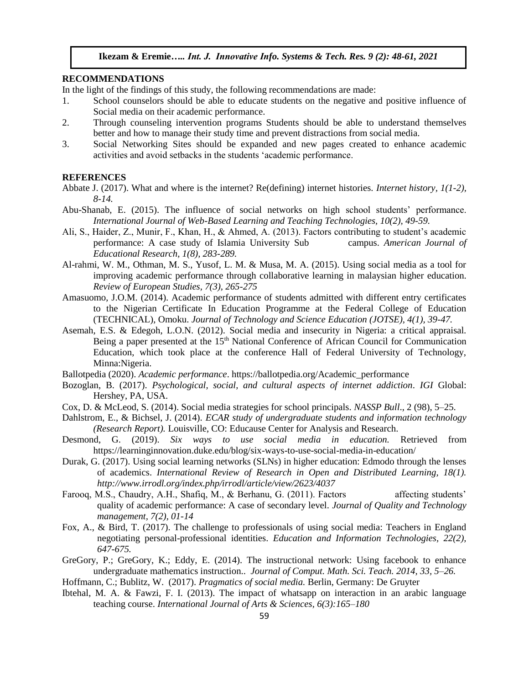### **RECOMMENDATIONS**

In the light of the findings of this study, the following recommendations are made:

- 1. School counselors should be able to educate students on the negative and positive influence of Social media on their academic performance.
- 2. Through counseling intervention programs Students should be able to understand themselves better and how to manage their study time and prevent distractions from social media.
- 3. Social Networking Sites should be expanded and new pages created to enhance academic activities and avoid setbacks in the students 'academic performance.

# **REFERENCES**

- Abbate J. (2017). What and where is the internet? Re(defining) internet histories. *Internet history, 1(1-2), 8-14.*
- Abu-Shanab, E. (2015). The influence of social networks on high school students' performance. *International Journal of Web-Based Learning and Teaching Technologies, 10(2), 49-59.*
- Ali, S., Haider, Z., Munir, F., Khan, H., & Ahmed, A. (2013). Factors contributing to student's academic performance: A case study of Islamia University Sub campus. *American Journal of Educational Research, 1(8), 283-289.*
- Al-rahmi, W. M., Othman, M. S., Yusof, L. M. & Musa, M. A. (2015). Using social media as a tool for improving academic performance through collaborative learning in malaysian higher education. *Review of European Studies, 7(3), 265-275*
- Amasuomo, J.O.M. (2014). Academic performance of students admitted with different entry certificates to the Nigerian Certificate In Education Programme at the Federal College of Education (TECHNICAL), Omoku. *Journal of Technology and Science Education (JOTSE), 4(1), 39-47.*
- Asemah, E.S. & Edegoh, L.O.N. (2012). Social media and insecurity in Nigeria: a critical appraisal. Being a paper presented at the  $15<sup>th</sup>$  National Conference of African Council for Communication Education, which took place at the conference Hall of Federal University of Technology, Minna:Nigeria.
- Ballotpedia (2020). *Academic performance*. https://ballotpedia.org/Academic\_performance
- Bozoglan, B. (2017). *Psychological, social, and cultural aspects of internet addiction*. *IGI* Global: Hershey, PA, USA.
- Cox, D. & McLeod, S. (2014). Social media strategies for school principals. *NASSP Bull*., 2 (98), 5–25.
- Dahlstrom, E., & Bichsel, J. (2014). *ECAR study of undergraduate students and information technology (Research Report).* Louisville, CO: Educause Center for Analysis and Research.
- Desmond, G. (2019). *Six ways to use social media in education.* Retrieved from https://learninginnovation.duke.edu/blog/six-ways-to-use-social-media-in-education/
- Durak, G. (2017). Using social learning networks (SLNs) in higher education: Edmodo through the lenses of academics. *International Review of Research in Open and Distributed Learning, 18(1). <http://www.irrodl.org/index.php/irrodl/article/view/2623/4037>*
- Farooq, M.S., Chaudry, A.H., Shafiq, M., & Berhanu, G. (2011). Factors affecting students' quality of academic performance: A case of secondary level. *Journal of Quality and Technology management, 7(2), 01-14*
- Fox, A., & Bird, T. (2017). The challenge to professionals of using social media: Teachers in England negotiating personal-professional identities. *Education and Information Technologies, 22(2), 647-675.*
- GreGory, P.; GreGory, K.; Eddy, E. (2014). The instructional network: Using facebook to enhance undergraduate mathematics instruction.. *Journal of Comput. Math. Sci. Teach. 2014, 33, 5–26.*
- Hoffmann, C.; Bublitz, W. (2017). *Pragmatics of social media.* Berlin, Germany: De Gruyter
- Ibtehal, M. A. & Fawzi, F. I. (2013). The impact of whatsapp on interaction in an arabic language teaching course. *International Journal of Arts & Sciences, 6(3):165–180*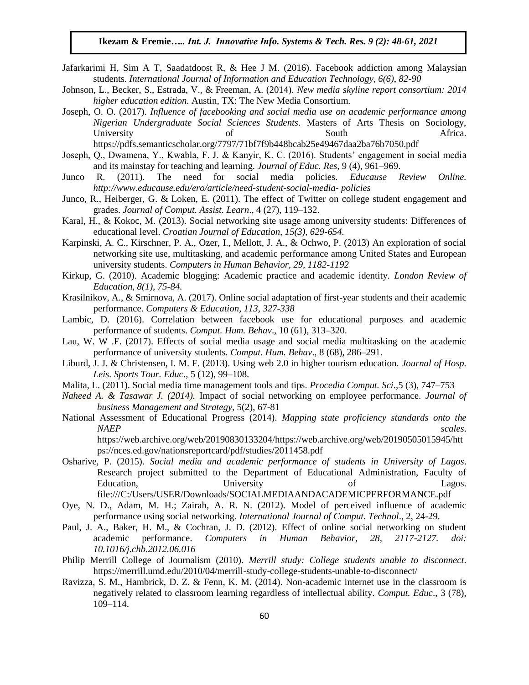- Jafarkarimi H, Sim A T, Saadatdoost R, & Hee J M. (2016). Facebook addiction among Malaysian students. *International Journal of Information and Education Technology, 6(6), 82-90*
- Johnson, L., Becker, S., Estrada, V., & Freeman, A. (2014). *New media skyline report consortium: 2014 higher education edition.* Austin, TX: The New Media Consortium.
- Joseph, O. O. (2017). *Influence of facebooking and social media use on academic performance among Nigerian Undergraduate Social Sciences Students*. Masters of Arts Thesis on Sociology, University of South Africa. <https://pdfs.semanticscholar.org/7797/71bf7f9b448bcab25e49467daa2ba76b7050.pdf>
- Joseph, Q., Dwamena, Y., Kwabla, F. J. & Kanyir, K. C. (2016). Students' engagement in social media and its mainstay for teaching and learning. *Journal of Educ. Res,* 9 (4), 961–969.
- Junco R. (2011). The need for social media policies. *Educause Review Online. http://www.educause.edu/ero/article/need-student-social-media- policies*
- Junco, R., Heiberger, G. & Loken, E. (2011). The effect of Twitter on college student engagement and grades. *Journal of Comput. Assist. Learn*., 4 (27), 119–132.
- Karal, H., & Kokoc, M. (2013). Social networking site usage among university students: Differences of educational level. *Croatian Journal of Education, 15(3), 629-654.*
- Karpinski, A. C., Kirschner, P. A., Ozer, I., Mellott, J. A., & Ochwo, P. (2013) An exploration of social networking site use, multitasking, and academic performance among United States and European university students. *Computers in Human Behavior, 29, 1182-1192*
- Kirkup, G. (2010). Academic blogging: Academic practice and academic identity. *London Review of Education, 8(1), 75-84.*
- Krasilnikov, A., & Smirnova, A. (2017). Online social adaptation of first-year students and their academic performance. *Computers & Education, 113, 327-338*
- Lambic, D. (2016). Correlation between facebook use for educational purposes and academic performance of students. *Comput. Hum. Behav*., 10 (61), 313–320.
- Lau, W. W .F. (2017). Effects of social media usage and social media multitasking on the academic performance of university students. *Comput. Hum. Behav*., 8 (68), 286–291.
- Liburd, J. J. & Christensen, I. M. F. (2013). Using web 2.0 in higher tourism education. *Journal of Hosp. Leis. Sports Tour. Educ*., 5 (12), 99–108.
- Malita, L. (2011). Social media time management tools and tips. *Procedia Comput. Sci*.,5 (3), 747–753
- *Naheed A. & Tasawar J. (2014).* Impact of social networking on employee performance. *Journal of business Management and Strategy*, 5(2), 67-81
- National Assessment of Educational Progress (2014). *Mapping state proficiency standards onto the NAEP* scales.

[https://web.archive.org/web/20190830133204/https://web.archive.org/web/20190505015945/htt](https://web.archive.org/web/20190830133204/https:/web.archive.org/web/20190505015945/https:/nces.ed.gov/nationsreportcard/pdf/studies/2011458.pdf) [ps://nces.ed.gov/nationsreportcard/pdf/studies/2011458.pdf](https://web.archive.org/web/20190830133204/https:/web.archive.org/web/20190505015945/https:/nces.ed.gov/nationsreportcard/pdf/studies/2011458.pdf)

- Osharive, P. (2015). *Social media and academic performance of students in University of Lagos*. Research project submitted to the Department of Educational Administration, Faculty of Education, Christophersity Christophersity of Lagos. file:///C:/Users/USER/Downloads/SOCIALMEDIAANDACADEMICPERFORMANCE.pdf
- Oye, N. D., Adam, M. H.; Zairah, A. R. N. (2012). Model of perceived influence of academic performance using social networking. *International Journal of Comput. Technol*., 2, 24-29.
- Paul, J. A., Baker, H. M., & Cochran, J. D. (2012). Effect of online social networking on student academic performance. *Computers in Human Behavior, 28, 2117-2127. doi: 10.1016/j.chb.2012.06.016*
- Philip Merrill College of Journalism (2010). *Merrill study: College students unable to disconnect*. <https://merrill.umd.edu/2010/04/merrill-study-college-students-unable-to-disconnect/>
- Ravizza, S. M., Hambrick, D. Z. & Fenn, K. M. (2014). Non-academic internet use in the classroom is negatively related to classroom learning regardless of intellectual ability. *Comput. Educ*., 3 (78), 109–114.